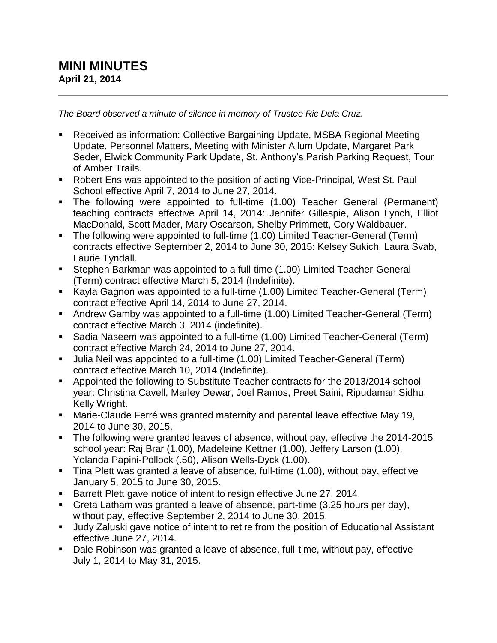## **MINI MINUTES April 21, 2014**

*The Board observed a minute of silence in memory of Trustee Ric Dela Cruz.*

- Received as information: Collective Bargaining Update, MSBA Regional Meeting Update, Personnel Matters, Meeting with Minister Allum Update, Margaret Park Seder, Elwick Community Park Update, St. Anthony's Parish Parking Request, Tour of Amber Trails.
- Robert Ens was appointed to the position of acting Vice-Principal, West St. Paul School effective April 7, 2014 to June 27, 2014.
- The following were appointed to full-time (1.00) Teacher General (Permanent) teaching contracts effective April 14, 2014: Jennifer Gillespie, Alison Lynch, Elliot MacDonald, Scott Mader, Mary Oscarson, Shelby Primmett, Cory Waldbauer.
- The following were appointed to full-time (1.00) Limited Teacher-General (Term) contracts effective September 2, 2014 to June 30, 2015: Kelsey Sukich, Laura Svab, Laurie Tyndall.
- Stephen Barkman was appointed to a full-time (1.00) Limited Teacher-General (Term) contract effective March 5, 2014 (Indefinite).
- Kayla Gagnon was appointed to a full-time (1.00) Limited Teacher-General (Term) contract effective April 14, 2014 to June 27, 2014.
- Andrew Gamby was appointed to a full-time (1.00) Limited Teacher-General (Term) contract effective March 3, 2014 (indefinite).
- Sadia Naseem was appointed to a full-time (1.00) Limited Teacher-General (Term) contract effective March 24, 2014 to June 27, 2014.
- Julia Neil was appointed to a full-time (1.00) Limited Teacher-General (Term) contract effective March 10, 2014 (Indefinite).
- Appointed the following to Substitute Teacher contracts for the 2013/2014 school year: Christina Cavell, Marley Dewar, Joel Ramos, Preet Saini, Ripudaman Sidhu, Kelly Wright.
- Marie-Claude Ferré was granted maternity and parental leave effective May 19, 2014 to June 30, 2015.
- The following were granted leaves of absence, without pay, effective the 2014-2015 school year: Raj Brar (1.00), Madeleine Kettner (1.00), Jeffery Larson (1.00), Yolanda Papini-Pollock (.50), Alison Wells-Dyck (1.00).
- Tina Plett was granted a leave of absence, full-time (1.00), without pay, effective January 5, 2015 to June 30, 2015.
- Barrett Plett gave notice of intent to resign effective June 27, 2014.
- Greta Latham was granted a leave of absence, part-time (3.25 hours per day), without pay, effective September 2, 2014 to June 30, 2015.
- Judy Zaluski gave notice of intent to retire from the position of Educational Assistant effective June 27, 2014.
- Dale Robinson was granted a leave of absence, full-time, without pay, effective July 1, 2014 to May 31, 2015.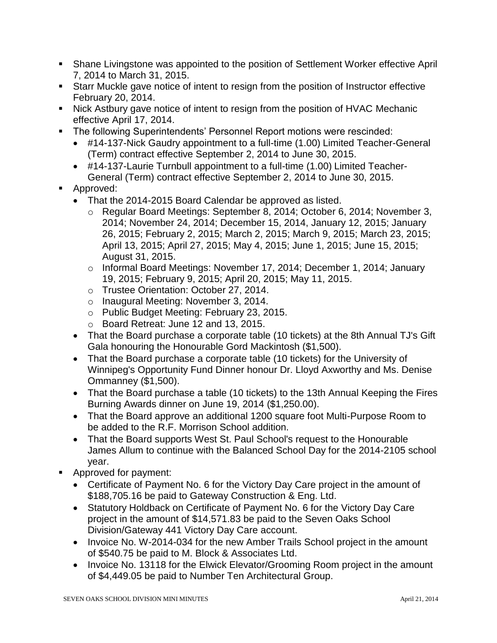- Shane Livingstone was appointed to the position of Settlement Worker effective April 7, 2014 to March 31, 2015.
- Starr Muckle gave notice of intent to resign from the position of Instructor effective February 20, 2014.
- Nick Astbury gave notice of intent to resign from the position of HVAC Mechanic effective April 17, 2014.
- **The following Superintendents' Personnel Report motions were rescinded:** 
	- #14-137-Nick Gaudry appointment to a full-time (1.00) Limited Teacher-General (Term) contract effective September 2, 2014 to June 30, 2015.
	- #14-137-Laurie Turnbull appointment to a full-time (1.00) Limited Teacher-General (Term) contract effective September 2, 2014 to June 30, 2015.
- **Approved:** 
	- That the 2014-2015 Board Calendar be approved as listed.
		- o Regular Board Meetings: September 8, 2014; October 6, 2014; November 3, 2014; November 24, 2014; December 15, 2014, January 12, 2015; January 26, 2015; February 2, 2015; March 2, 2015; March 9, 2015; March 23, 2015; April 13, 2015; April 27, 2015; May 4, 2015; June 1, 2015; June 15, 2015; August 31, 2015.
		- o Informal Board Meetings: November 17, 2014; December 1, 2014; January 19, 2015; February 9, 2015; April 20, 2015; May 11, 2015.
		- o Trustee Orientation: October 27, 2014.
		- o Inaugural Meeting: November 3, 2014.
		- o Public Budget Meeting: February 23, 2015.
		- o Board Retreat: June 12 and 13, 2015.
	- That the Board purchase a corporate table (10 tickets) at the 8th Annual TJ's Gift Gala honouring the Honourable Gord Mackintosh (\$1,500).
	- That the Board purchase a corporate table (10 tickets) for the University of Winnipeg's Opportunity Fund Dinner honour Dr. Lloyd Axworthy and Ms. Denise Ommanney (\$1,500).
	- That the Board purchase a table (10 tickets) to the 13th Annual Keeping the Fires Burning Awards dinner on June 19, 2014 (\$1,250.00).
	- That the Board approve an additional 1200 square foot Multi-Purpose Room to be added to the R.F. Morrison School addition.
	- That the Board supports West St. Paul School's request to the Honourable James Allum to continue with the Balanced School Day for the 2014-2105 school year.
- Approved for payment:
	- Certificate of Payment No. 6 for the Victory Day Care project in the amount of \$188,705.16 be paid to Gateway Construction & Eng. Ltd.
	- Statutory Holdback on Certificate of Payment No. 6 for the Victory Day Care project in the amount of \$14,571.83 be paid to the Seven Oaks School Division/Gateway 441 Victory Day Care account.
	- Invoice No. W-2014-034 for the new Amber Trails School project in the amount of \$540.75 be paid to M. Block & Associates Ltd.
	- Invoice No. 13118 for the Elwick Elevator/Grooming Room project in the amount of \$4,449.05 be paid to Number Ten Architectural Group.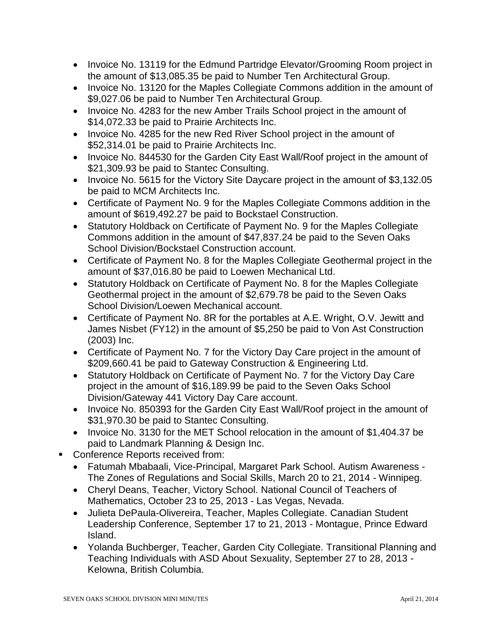- Invoice No. 13119 for the Edmund Partridge Elevator/Grooming Room project in the amount of \$13,085.35 be paid to Number Ten Architectural Group.
- Invoice No. 13120 for the Maples Collegiate Commons addition in the amount of \$9,027.06 be paid to Number Ten Architectural Group.
- Invoice No. 4283 for the new Amber Trails School project in the amount of \$14,072.33 be paid to Prairie Architects Inc.
- Invoice No. 4285 for the new Red River School project in the amount of \$52,314.01 be paid to Prairie Architects Inc.
- Invoice No. 844530 for the Garden City East Wall/Roof project in the amount of \$21,309.93 be paid to Stantec Consulting.
- Invoice No. 5615 for the Victory Site Daycare project in the amount of \$3,132.05 be paid to MCM Architects Inc.
- Certificate of Payment No. 9 for the Maples Collegiate Commons addition in the amount of \$619,492.27 be paid to Bockstael Construction.
- Statutory Holdback on Certificate of Payment No. 9 for the Maples Collegiate Commons addition in the amount of \$47,837.24 be paid to the Seven Oaks School Division/Bockstael Construction account.
- Certificate of Payment No. 8 for the Maples Collegiate Geothermal project in the amount of \$37,016.80 be paid to Loewen Mechanical Ltd.
- Statutory Holdback on Certificate of Payment No. 8 for the Maples Collegiate Geothermal project in the amount of \$2,679.78 be paid to the Seven Oaks School Division/Loewen Mechanical account.
- Certificate of Payment No. 8R for the portables at A.E. Wright, O.V. Jewitt and James Nisbet (FY12) in the amount of \$5,250 be paid to Von Ast Construction (2003) Inc.
- Certificate of Payment No. 7 for the Victory Day Care project in the amount of \$209,660.41 be paid to Gateway Construction & Engineering Ltd.
- Statutory Holdback on Certificate of Payment No. 7 for the Victory Day Care project in the amount of \$16,189.99 be paid to the Seven Oaks School Division/Gateway 441 Victory Day Care account.
- Invoice No. 850393 for the Garden City East Wall/Roof project in the amount of \$31,970.30 be paid to Stantec Consulting.
- Invoice No. 3130 for the MET School relocation in the amount of \$1,404.37 be paid to Landmark Planning & Design Inc.
- **Conference Reports received from:** 
	- Fatumah Mbabaali, Vice-Principal, Margaret Park School. Autism Awareness The Zones of Regulations and Social Skills, March 20 to 21, 2014 - Winnipeg.
	- Cheryl Deans, Teacher, Victory School. National Council of Teachers of Mathematics, October 23 to 25, 2013 - Las Vegas, Nevada.
	- Julieta DePaula-Olivereira, Teacher, Maples Collegiate. Canadian Student Leadership Conference, September 17 to 21, 2013 - Montague, Prince Edward Island.
	- Yolanda Buchberger, Teacher, Garden City Collegiate. Transitional Planning and Teaching Individuals with ASD About Sexuality, September 27 to 28, 2013 - Kelowna, British Columbia.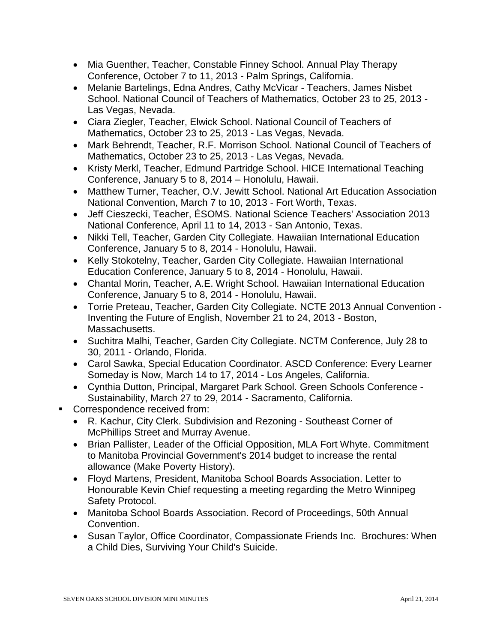- Mia Guenther, Teacher, Constable Finney School. Annual Play Therapy Conference, October 7 to 11, 2013 - Palm Springs, California.
- Melanie Bartelings, Edna Andres, Cathy McVicar Teachers, James Nisbet School. National Council of Teachers of Mathematics, October 23 to 25, 2013 - Las Vegas, Nevada.
- Ciara Ziegler, Teacher, Elwick School. National Council of Teachers of Mathematics, October 23 to 25, 2013 - Las Vegas, Nevada.
- Mark Behrendt, Teacher, R.F. Morrison School. National Council of Teachers of Mathematics, October 23 to 25, 2013 - Las Vegas, Nevada.
- Kristy Merkl, Teacher, Edmund Partridge School. HICE International Teaching Conference, January 5 to 8, 2014 – Honolulu, Hawaii.
- Matthew Turner, Teacher, O.V. Jewitt School. National Art Education Association National Convention, March 7 to 10, 2013 - Fort Worth, Texas.
- Jeff Cieszecki, Teacher, ÉSOMS. National Science Teachers' Association 2013 National Conference, April 11 to 14, 2013 - San Antonio, Texas.
- Nikki Tell, Teacher, Garden City Collegiate. Hawaiian International Education Conference, January 5 to 8, 2014 - Honolulu, Hawaii.
- Kelly Stokotelny, Teacher, Garden City Collegiate. Hawaiian International Education Conference, January 5 to 8, 2014 - Honolulu, Hawaii.
- Chantal Morin, Teacher, A.E. Wright School. Hawaiian International Education Conference, January 5 to 8, 2014 - Honolulu, Hawaii.
- Torrie Preteau, Teacher, Garden City Collegiate. NCTE 2013 Annual Convention Inventing the Future of English, November 21 to 24, 2013 - Boston, Massachusetts.
- Suchitra Malhi, Teacher, Garden City Collegiate. NCTM Conference, July 28 to 30, 2011 - Orlando, Florida.
- Carol Sawka, Special Education Coordinator. ASCD Conference: Every Learner Someday is Now, March 14 to 17, 2014 - Los Angeles, California.
- Cynthia Dutton, Principal, Margaret Park School. Green Schools Conference Sustainability, March 27 to 29, 2014 - Sacramento, California.
- Correspondence received from:
	- R. Kachur, City Clerk. Subdivision and Rezoning Southeast Corner of McPhillips Street and Murray Avenue.
	- Brian Pallister, Leader of the Official Opposition, MLA Fort Whyte. Commitment to Manitoba Provincial Government's 2014 budget to increase the rental allowance (Make Poverty History).
	- Floyd Martens, President, Manitoba School Boards Association. Letter to Honourable Kevin Chief requesting a meeting regarding the Metro Winnipeg Safety Protocol.
	- Manitoba School Boards Association. Record of Proceedings, 50th Annual Convention.
	- Susan Taylor, Office Coordinator, Compassionate Friends Inc. Brochures: When a Child Dies, Surviving Your Child's Suicide.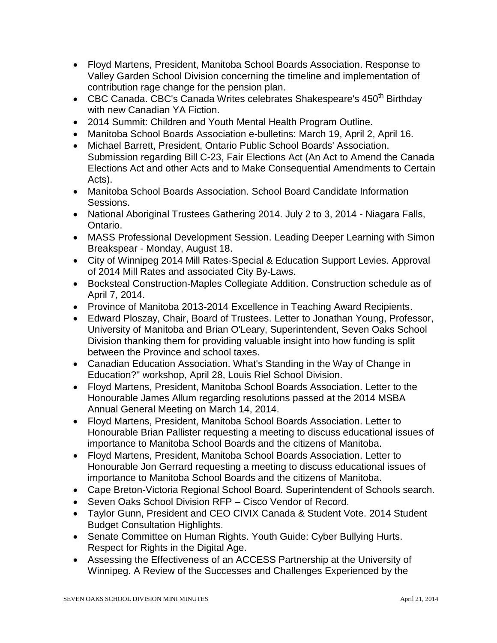- Floyd Martens, President, Manitoba School Boards Association. Response to Valley Garden School Division concerning the timeline and implementation of contribution rage change for the pension plan.
- CBC Canada. CBC's Canada Writes celebrates Shakespeare's  $450<sup>th</sup>$  Birthday with new Canadian YA Fiction.
- 2014 Summit: Children and Youth Mental Health Program Outline.
- Manitoba School Boards Association e-bulletins: March 19, April 2, April 16.
- Michael Barrett, President, Ontario Public School Boards' Association. Submission regarding Bill C-23, Fair Elections Act (An Act to Amend the Canada Elections Act and other Acts and to Make Consequential Amendments to Certain Acts).
- Manitoba School Boards Association. School Board Candidate Information Sessions.
- National Aboriginal Trustees Gathering 2014. July 2 to 3, 2014 Niagara Falls, Ontario.
- MASS Professional Development Session. Leading Deeper Learning with Simon Breakspear - Monday, August 18.
- City of Winnipeg 2014 Mill Rates-Special & Education Support Levies. Approval of 2014 Mill Rates and associated City By-Laws.
- Bocksteal Construction-Maples Collegiate Addition. Construction schedule as of April 7, 2014.
- Province of Manitoba 2013-2014 Excellence in Teaching Award Recipients.
- Edward Ploszay, Chair, Board of Trustees. Letter to Jonathan Young, Professor, University of Manitoba and Brian O'Leary, Superintendent, Seven Oaks School Division thanking them for providing valuable insight into how funding is split between the Province and school taxes.
- Canadian Education Association. What's Standing in the Way of Change in Education?" workshop, April 28, Louis Riel School Division.
- Floyd Martens, President, Manitoba School Boards Association. Letter to the Honourable James Allum regarding resolutions passed at the 2014 MSBA Annual General Meeting on March 14, 2014.
- Floyd Martens, President, Manitoba School Boards Association. Letter to Honourable Brian Pallister requesting a meeting to discuss educational issues of importance to Manitoba School Boards and the citizens of Manitoba.
- Floyd Martens, President, Manitoba School Boards Association. Letter to Honourable Jon Gerrard requesting a meeting to discuss educational issues of importance to Manitoba School Boards and the citizens of Manitoba.
- Cape Breton-Victoria Regional School Board. Superintendent of Schools search.
- Seven Oaks School Division RFP Cisco Vendor of Record.
- Taylor Gunn, President and CEO CIVIX Canada & Student Vote. 2014 Student Budget Consultation Highlights.
- Senate Committee on Human Rights. Youth Guide: Cyber Bullying Hurts. Respect for Rights in the Digital Age.
- Assessing the Effectiveness of an ACCESS Partnership at the University of Winnipeg. A Review of the Successes and Challenges Experienced by the